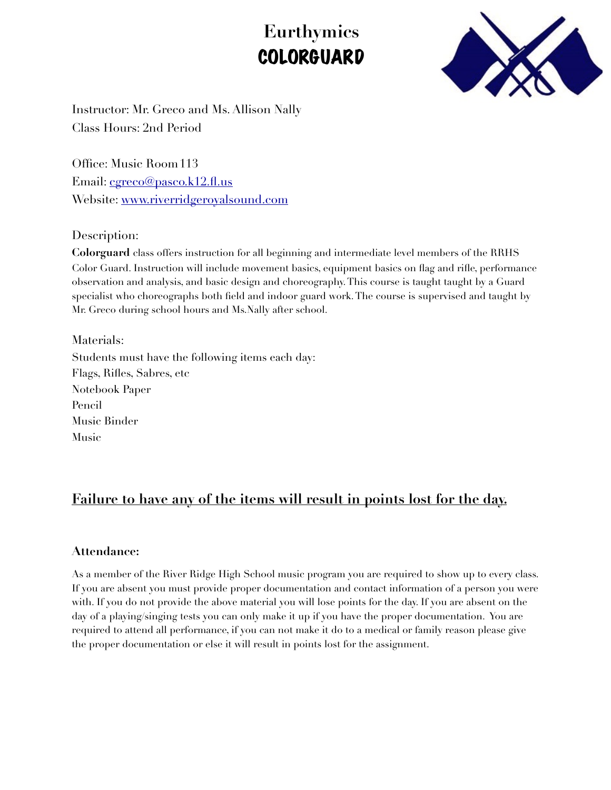# **Eurthymics**  COLORGUARD



Instructor: Mr. Greco and Ms. Allison Nally Class Hours: 2nd Period

Office: Music Room 113 Email: [cgreco@pasco.k12.fl.us](mailto:cgreco@pasco.k12.fl.us) Website: [www.riverridgeroyalsound.com](http://www.riverridgeroyalsound.com)

Description:

**Colorguard** class offers instruction for all beginning and intermediate level members of the RRHS Color Guard. Instruction will include movement basics, equipment basics on flag and rifle, performance observation and analysis, and basic design and choreography. This course is taught taught by a Guard specialist who choreographs both field and indoor guard work. The course is supervised and taught by Mr. Greco during school hours and Ms.Nally after school.

Materials:

Students must have the following items each day: Flags, Rifles, Sabres, etc Notebook Paper Pencil Music Binder Music

# **Failure to have any of the items will result in points lost for the day.**

#### **Attendance:**

As a member of the River Ridge High School music program you are required to show up to every class. If you are absent you must provide proper documentation and contact information of a person you were with. If you do not provide the above material you will lose points for the day. If you are absent on the day of a playing/singing tests you can only make it up if you have the proper documentation. You are required to attend all performance, if you can not make it do to a medical or family reason please give the proper documentation or else it will result in points lost for the assignment.